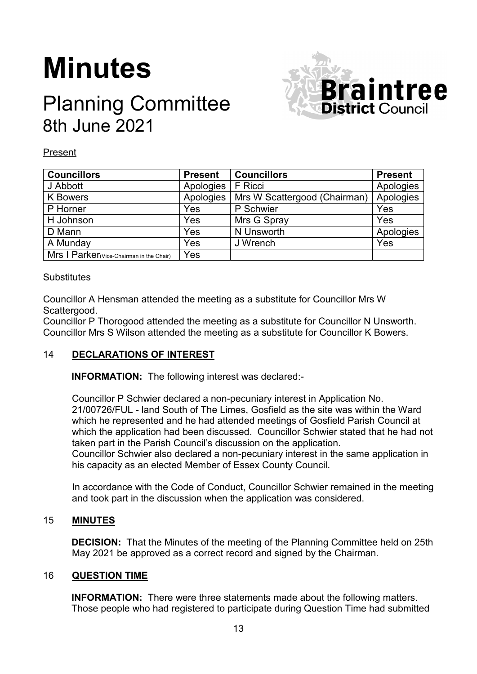# **Minutes**

## Planning Committee 8th June 2021



#### Present

| <b>Councillors</b>                       | <b>Present</b> | <b>Councillors</b>           | <b>Present</b> |
|------------------------------------------|----------------|------------------------------|----------------|
| J Abbott                                 | Apologies      | <b>F</b> Ricci               | Apologies      |
| <b>K</b> Bowers                          | Apologies      | Mrs W Scattergood (Chairman) | Apologies      |
| P Horner                                 | Yes            | P Schwier                    | Yes            |
| H Johnson                                | Yes            | Mrs G Spray                  | Yes            |
| D Mann                                   | Yes            | N Unsworth                   | Apologies      |
| A Munday                                 | Yes            | J Wrench                     | Yes            |
| Mrs   Parker(Vice-Chairman in the Chair) | Yes            |                              |                |

#### **Substitutes**

Councillor A Hensman attended the meeting as a substitute for Councillor Mrs W Scattergood.

Councillor P Thorogood attended the meeting as a substitute for Councillor N Unsworth. Councillor Mrs S Wilson attended the meeting as a substitute for Councillor K Bowers.

### 14 **DECLARATIONS OF INTEREST**

**INFORMATION:** The following interest was declared:-

Councillor P Schwier declared a non-pecuniary interest in Application No. 21/00726/FUL - land South of The Limes, Gosfield as the site was within the Ward which he represented and he had attended meetings of Gosfield Parish Council at which the application had been discussed. Councillor Schwier stated that he had not taken part in the Parish Council's discussion on the application.

Councillor Schwier also declared a non-pecuniary interest in the same application in his capacity as an elected Member of Essex County Council.

In accordance with the Code of Conduct, Councillor Schwier remained in the meeting and took part in the discussion when the application was considered.

#### 15 **MINUTES**

**DECISION:** That the Minutes of the meeting of the Planning Committee held on 25th May 2021 be approved as a correct record and signed by the Chairman.

#### 16 **QUESTION TIME**

**INFORMATION:** There were three statements made about the following matters. Those people who had registered to participate during Question Time had submitted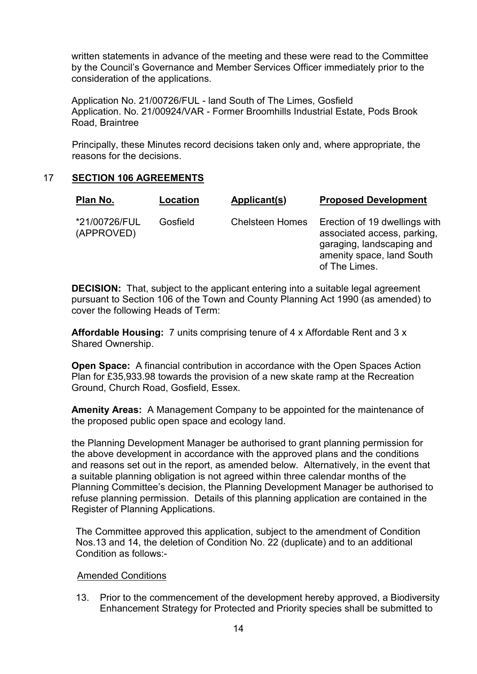written statements in advance of the meeting and these were read to the Committee by the Council's Governance and Member Services Officer immediately prior to the consideration of the applications.

Application No. 21/00726/FUL - land South of The Limes, Gosfield Application. No. 21/00924/VAR - Former Broomhills Industrial Estate, Pods Brook Road, Braintree

Principally, these Minutes record decisions taken only and, where appropriate, the reasons for the decisions.

#### 17 **SECTION 106 AGREEMENTS**

| Plan No.                    | Location | Applicant(s)           | <b>Proposed Development</b>                                                                                                             |
|-----------------------------|----------|------------------------|-----------------------------------------------------------------------------------------------------------------------------------------|
| *21/00726/FUL<br>(APPROVED) | Gosfield | <b>Chelsteen Homes</b> | Erection of 19 dwellings with<br>associated access, parking,<br>garaging, landscaping and<br>amenity space, land South<br>of The Limes. |

**DECISION:** That, subject to the applicant entering into a suitable legal agreement pursuant to Section 106 of the Town and County Planning Act 1990 (as amended) to cover the following Heads of Term:

**Affordable Housing:** 7 units comprising tenure of 4 x Affordable Rent and 3 x Shared Ownership.

**Open Space:** A financial contribution in accordance with the Open Spaces Action Plan for £35,933.98 towards the provision of a new skate ramp at the Recreation Ground, Church Road, Gosfield, Essex.

**Amenity Areas:** A Management Company to be appointed for the maintenance of the proposed public open space and ecology land.

the Planning Development Manager be authorised to grant planning permission for the above development in accordance with the approved plans and the conditions and reasons set out in the report, as amended below. Alternatively, in the event that a suitable planning obligation is not agreed within three calendar months of the Planning Committee's decision, the Planning Development Manager be authorised to refuse planning permission. Details of this planning application are contained in the Register of Planning Applications.

The Committee approved this application, subject to the amendment of Condition Nos.13 and 14, the deletion of Condition No. 22 (duplicate) and to an additional Condition as follows:-

#### Amended Conditions

13. Prior to the commencement of the development hereby approved, a Biodiversity Enhancement Strategy for Protected and Priority species shall be submitted to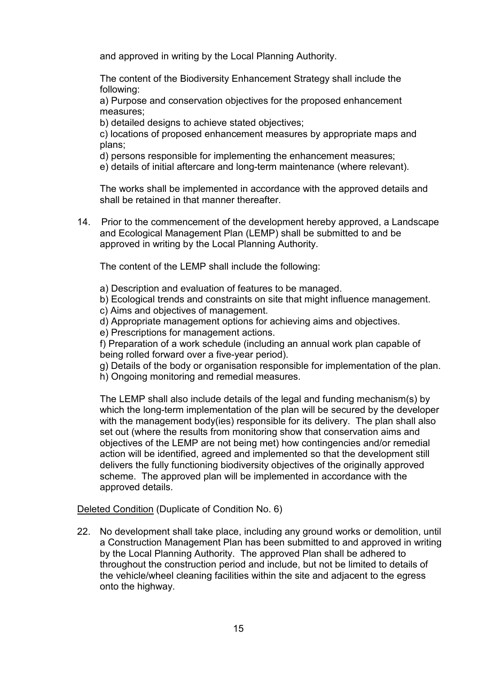and approved in writing by the Local Planning Authority.

The content of the Biodiversity Enhancement Strategy shall include the following:

a) Purpose and conservation objectives for the proposed enhancement measures;

b) detailed designs to achieve stated objectives;

c) locations of proposed enhancement measures by appropriate maps and plans;

d) persons responsible for implementing the enhancement measures;

e) details of initial aftercare and long-term maintenance (where relevant).

The works shall be implemented in accordance with the approved details and shall be retained in that manner thereafter.

14. Prior to the commencement of the development hereby approved, a Landscape and Ecological Management Plan (LEMP) shall be submitted to and be approved in writing by the Local Planning Authority.

The content of the LEMP shall include the following:

a) Description and evaluation of features to be managed.

b) Ecological trends and constraints on site that might influence management.

- c) Aims and objectives of management.
- d) Appropriate management options for achieving aims and objectives.
- e) Prescriptions for management actions.

f) Preparation of a work schedule (including an annual work plan capable of being rolled forward over a five-year period).

g) Details of the body or organisation responsible for implementation of the plan. h) Ongoing monitoring and remedial measures.

The LEMP shall also include details of the legal and funding mechanism(s) by which the long-term implementation of the plan will be secured by the developer with the management body(ies) responsible for its delivery. The plan shall also set out (where the results from monitoring show that conservation aims and objectives of the LEMP are not being met) how contingencies and/or remedial action will be identified, agreed and implemented so that the development still delivers the fully functioning biodiversity objectives of the originally approved scheme. The approved plan will be implemented in accordance with the approved details.

Deleted Condition (Duplicate of Condition No. 6)

22. No development shall take place, including any ground works or demolition, until a Construction Management Plan has been submitted to and approved in writing by the Local Planning Authority. The approved Plan shall be adhered to throughout the construction period and include, but not be limited to details of the vehicle/wheel cleaning facilities within the site and adjacent to the egress onto the highway.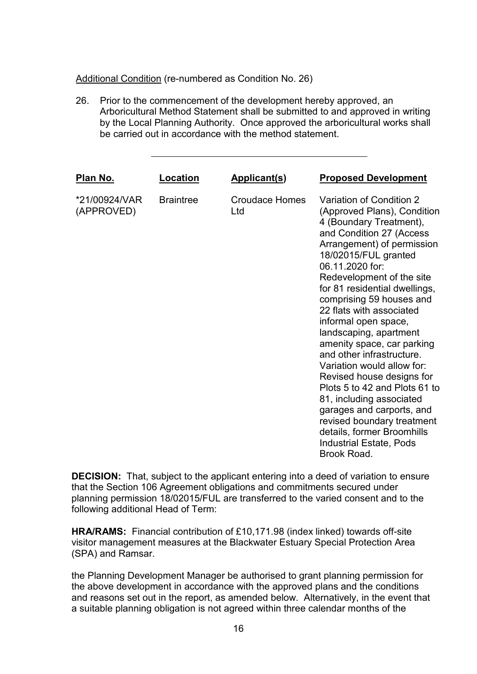Additional Condition (re-numbered as Condition No. 26)

26. Prior to the commencement of the development hereby approved, an Arboricultural Method Statement shall be submitted to and approved in writing by the Local Planning Authority. Once approved the arboricultural works shall be carried out in accordance with the method statement.

| <u>Plan No.</u>             | Location         | <b>Applicant(s)</b>          | <b>Proposed Development</b>                                                                                                                                                                                                                                                                                                                                                                                                                                                                                                                                                                                                                                                           |
|-----------------------------|------------------|------------------------------|---------------------------------------------------------------------------------------------------------------------------------------------------------------------------------------------------------------------------------------------------------------------------------------------------------------------------------------------------------------------------------------------------------------------------------------------------------------------------------------------------------------------------------------------------------------------------------------------------------------------------------------------------------------------------------------|
| *21/00924/VAR<br>(APPROVED) | <b>Braintree</b> | <b>Croudace Homes</b><br>Ltd | Variation of Condition 2<br>(Approved Plans), Condition<br>4 (Boundary Treatment),<br>and Condition 27 (Access<br>Arrangement) of permission<br>18/02015/FUL granted<br>06.11.2020 for:<br>Redevelopment of the site<br>for 81 residential dwellings,<br>comprising 59 houses and<br>22 flats with associated<br>informal open space,<br>landscaping, apartment<br>amenity space, car parking<br>and other infrastructure.<br>Variation would allow for:<br>Revised house designs for<br>Plots 5 to 42 and Plots 61 to<br>81, including associated<br>garages and carports, and<br>revised boundary treatment<br>details, former Broomhills<br>Industrial Estate, Pods<br>Brook Road. |

**DECISION:** That, subject to the applicant entering into a deed of variation to ensure that the Section 106 Agreement obligations and commitments secured under planning permission 18/02015/FUL are transferred to the varied consent and to the following additional Head of Term:

**HRA/RAMS:** Financial contribution of £10,171.98 (index linked) towards off-site visitor management measures at the Blackwater Estuary Special Protection Area (SPA) and Ramsar.

the Planning Development Manager be authorised to grant planning permission for the above development in accordance with the approved plans and the conditions and reasons set out in the report, as amended below. Alternatively, in the event that a suitable planning obligation is not agreed within three calendar months of the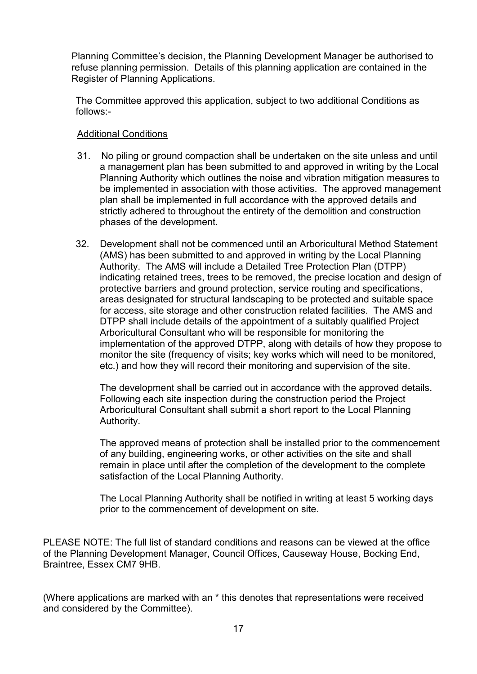Planning Committee's decision, the Planning Development Manager be authorised to refuse planning permission. Details of this planning application are contained in the Register of Planning Applications.

The Committee approved this application, subject to two additional Conditions as follows:-

#### Additional Conditions

- 31. No piling or ground compaction shall be undertaken on the site unless and until a management plan has been submitted to and approved in writing by the Local Planning Authority which outlines the noise and vibration mitigation measures to be implemented in association with those activities. The approved management plan shall be implemented in full accordance with the approved details and strictly adhered to throughout the entirety of the demolition and construction phases of the development.
- 32. Development shall not be commenced until an Arboricultural Method Statement (AMS) has been submitted to and approved in writing by the Local Planning Authority. The AMS will include a Detailed Tree Protection Plan (DTPP) indicating retained trees, trees to be removed, the precise location and design of protective barriers and ground protection, service routing and specifications, areas designated for structural landscaping to be protected and suitable space for access, site storage and other construction related facilities. The AMS and DTPP shall include details of the appointment of a suitably qualified Project Arboricultural Consultant who will be responsible for monitoring the implementation of the approved DTPP, along with details of how they propose to monitor the site (frequency of visits; key works which will need to be monitored, etc.) and how they will record their monitoring and supervision of the site.

The development shall be carried out in accordance with the approved details. Following each site inspection during the construction period the Project Arboricultural Consultant shall submit a short report to the Local Planning Authority.

The approved means of protection shall be installed prior to the commencement of any building, engineering works, or other activities on the site and shall remain in place until after the completion of the development to the complete satisfaction of the Local Planning Authority.

The Local Planning Authority shall be notified in writing at least 5 working days prior to the commencement of development on site.

PLEASE NOTE: The full list of standard conditions and reasons can be viewed at the office of the Planning Development Manager, Council Offices, Causeway House, Bocking End, Braintree, Essex CM7 9HB.

(Where applications are marked with an \* this denotes that representations were received and considered by the Committee).